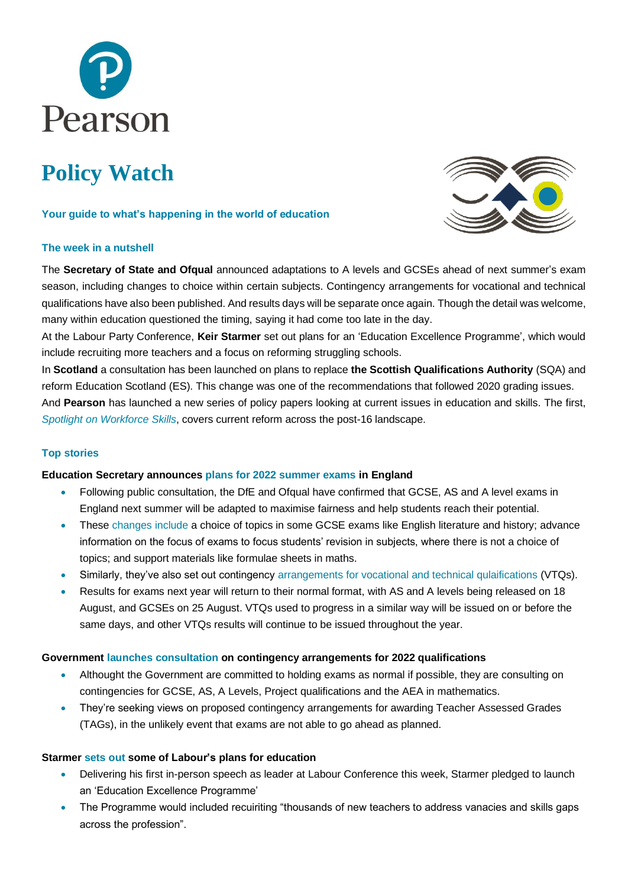

# **Policy Watch**

# **Your guide to what's happening in the world of education**

# **The week in a nutshell**



The **Secretary of State and Ofqual** announced adaptations to A levels and GCSEs ahead of next summer's exam season, including changes to choice within certain subjects. Contingency arrangements for vocational and technical qualifications have also been published. And results days will be separate once again. Though the detail was welcome, many within education questioned the timing, saying it had come too late in the day.

At the Labour Party Conference, **Keir Starmer** set out plans for an 'Education Excellence Programme', which would include recruiting more teachers and a focus on reforming struggling schools.

In **Scotland** a consultation has been launched on plans to replace **the Scottish Qualifications Authority** (SQA) and reform Education Scotland (ES). This change was one of the recommendations that followed 2020 grading issues. And **Pearson** has launched a new series of policy papers looking at current issues in education and skills. The first, *[Spotlight on Workforce Skills](https://www.pearson.com/uk/news-and-policy/spotlight/workforce-skills.html)*, covers current reform across the post-16 landscape.

# **Top stories**

# **Education Secretary announces [plans for 2022 summer exams](https://www.gov.uk/government/news/adaptations-in-2022-summer-examsto-ensure-fairness-for-students) in England**

- Following public consultation, the DfE and Ofqual have confirmed that GCSE, AS and A level exams in England next summer will be adapted to maximise fairness and help students reach their potential.
- These [changes include](https://www.gov.uk/government/consultations/proposed-changes-to-the-assessment-of-gcses-as-and-a-levels-in-2022) a choice of topics in some GCSE exams like English literature and history; advance information on the focus of exams to focus students' revision in subjects, where there is not a choice of topics; and support materials like formulae sheets in maths.
- Similarly, they've also set out contingency [arrangements for vocational and technical qulaifications](https://www.gov.uk/government/publications/awarding-qualifications-in-summer-2022) (VTQs).
- Results for exams next year will return to their normal format, with AS and A levels being released on 18 August, and GCSEs on 25 August. VTQs used to progress in a similar way will be issued on or before the same days, and other VTQs results will continue to be issued throughout the year.

# **Government [launches consultation](https://www.gov.uk/government/consultations/contingency-arrangements-gcse-as-a-level-project-and-aea) on contingency arrangements for 2022 qualifications**

- Althought the Government are committed to holding exams as normal if possible, they are consulting on contingencies for GCSE, AS, A Levels, Project qualifications and the AEA in mathematics.
- They're seeking views on proposed contingency arrangements for awarding Teacher Assessed Grades (TAGs), in the unlikely event that exams are not able to go ahead as planned.

# **Starmer [sets out](https://labour.org.uk/press/starmer-pledges-to-launch-an-education-national-excellence-programme/) some of Labour's plans for education**

- Delivering his first in-person speech as leader at Labour Conference this week, Starmer pledged to launch an 'Education Excellence Programme'
- The Programme would included recuiriting "thousands of new teachers to address vanacies and skills gaps across the profession".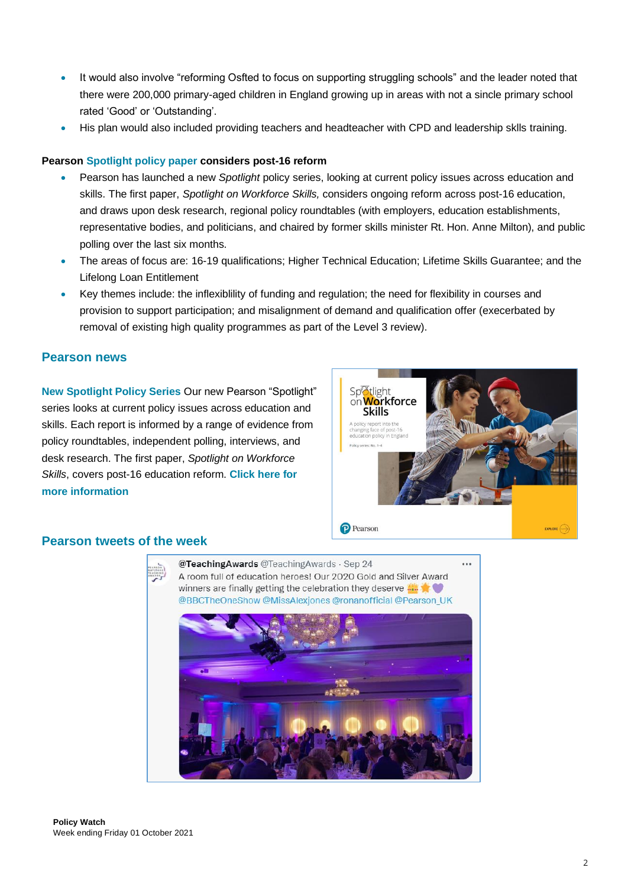- It would also involve "reforming Osfted to focus on supporting struggling schools" and the leader noted that there were 200,000 primary-aged children in England growing up in areas with not a sincle primary school rated 'Good' or 'Outstanding'.
- His plan would also included providing teachers and headteacher with CPD and leadership sklls training.

# **Pearson [Spotlight policy paper](https://www.pearson.com/uk/news-and-policy/spotlight/workforce-skills.html) considers post-16 reform**

- Pearson has launched a new *Spotlight* policy series, looking at current policy issues across education and skills. The first paper, *Spotlight on Workforce Skills,* considers ongoing reform across post-16 education, and draws upon desk research, regional policy roundtables (with employers, education establishments, representative bodies, and politicians, and chaired by former skills minister Rt. Hon. Anne Milton), and public polling over the last six months.
- The areas of focus are: 16-19 qualifications; Higher Technical Education; Lifetime Skills Guarantee; and the Lifelong Loan Entitlement
- Key themes include: the inflexibility of funding and regulation; the need for flexibility in courses and provision to support participation; and misalignment of demand and qualification offer (execerbated by removal of existing high quality programmes as part of the Level 3 review).

# **Pearson news**

**[New Spotlight Policy Series](https://www.pearson.com/uk/news-and-policy/spotlight.html)** Our new Pearson "Spotlight" series looks at current policy issues across education and skills. Each report is informed by a range of evidence from policy roundtables, independent polling, interviews, and desk research. The first paper, *Spotlight on Workforce Skills*, covers post-16 education reform. **[Click here for](https://www.pearson.com/uk/news-and-policy/spotlight/workforce-skills.html)  [more information](https://www.pearson.com/uk/news-and-policy/spotlight/workforce-skills.html)**



# **Pearson tweets of the week**

@TeachingAwards @TeachingAwards · Sep 24 ... A room full of education heroes! Our 2020 Gold and Silver Award winners are finally getting the celebration they deserve  $\cdots$ @BBCTheOneShow @MissAlexiones @ronanofficial @Pearson UK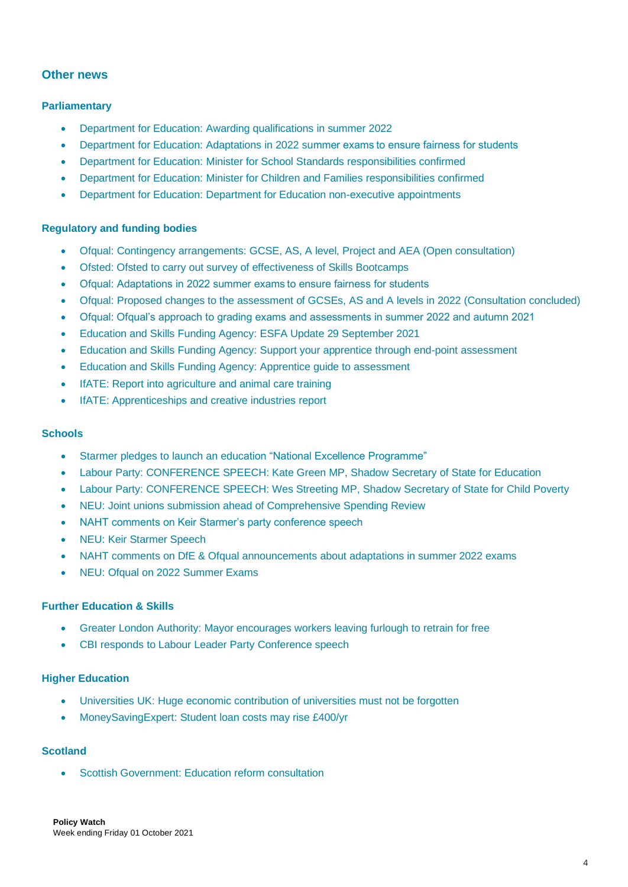# **Other news**

# **Parliamentary**

- [Department for Education: Awarding qualifications in summer 2022](https://www.gov.uk/government/publications/awarding-qualifications-in-summer-2022)
- [Department for Education: Adaptations in 2022 summer exams to ensure fairness for students](https://www.gov.uk/government/news/adaptations-in-2022-summer-examsto-ensure-fairness-for-students)
- [Department for Education: Minister for School Standards](https://www.gov.uk/government/ministers/minister-of-state-for-school-standards) responsibilities confirmed
- [Department for Education: Minister for Children and Families](https://www.gov.uk/government/ministers/parliamentary-under-secretary-of-state-children-and-young-families) responsibilities confirmed
- [Department for Education: Department for Education non-executive appointments](https://www.gov.uk/government/publications/department-for-education-non-executive-appointments/appointments-made-april-2021-to-march-2022--2)

# **Regulatory and funding bodies**

- [Ofqual:](https://www.gov.uk/government/news/new-chief-regulator-at-ofqual) Contingency arrangements: GCSE, AS, A level, Project and AEA (Open consultation)
- [Ofsted: Ofsted to carry out survey of effectiveness of Skills Bootcamps](https://www.gov.uk/government/news/ofsted-to-carry-out-survey-of-effectiveness-of-skills-bootcamps)
- [Ofqual: Adaptations in 2022 summer exams to ensure fairness for students](https://www.gov.uk/government/news/adaptations-in-2022-summer-examsto-ensure-fairness-for-students)
- [Ofqual: Proposed changes to the assessment of GCSEs, AS and A levels in 2022 \(Consultation concluded\)](https://www.gov.uk/government/consultations/proposed-changes-to-the-assessment-of-gcses-as-and-a-levels-in-2022)
- [Ofqual: Ofqual's approach to grading exams and assessments in summer 2022 and autumn 2021](https://www.gov.uk/government/speeches/ofquals-approach-to-grading-exams-and-assessments-in-summer-2022-and-autumn-2021)
- [Education and Skills Funding Agency: ESFA Update 29 September 2021](https://www.gov.uk/government/publications/esfa-update-29-september-2021)
- [Education and Skills Funding Agency: Support your apprentice through end-point assessment](https://www.gov.uk/guidance/support-your-apprentice-through-end-point-assessment)
- [Education and Skills Funding Agency: Apprentice guide to assessment](https://www.gov.uk/guidance/apprentice-guide-to-assessment)
- IfATE: Report into [agriculture and animal care training](https://www.instituteforapprenticeships.org/about/newshub/news-events/report-looks-to-exciting-future-for-agriculture-and-animal-care-training/)
- [IfATE: Apprenticeships and creative industries report](https://www.instituteforapprenticeships.org/about/newshub/news-events/apprenticeships-making-creative-industries-more-accessible/)

#### **Schools**

- [Starmer pledges to launch an education "National Excellence Programme"](https://labour.org.uk/press/starmer-pledges-to-launch-an-education-national-excellence-programme/)
- [Labour Party: CONFERENCE SPEECH: Kate Green MP, Shadow Secretary of State for Education](https://labour.org.uk/press/conference-speech-kate-green-mp-shadow-secretary-of-state-for-education/)
- [Labour Party: CONFERENCE SPEECH: Wes Streeting MP, Shadow Secretary of State for Child Poverty](https://labour.org.uk/press/conference-speech-wes-streeting-mp-shadow-secretary-of-state-for-child-poverty/)
- [NEU: Joint unions submission ahead of Comprehensive Spending Review](https://neu.org.uk/press-releases/joint-unions-submission-ahead-comprehensive-spending-review)
- [NAHT comments on Keir Starmer's party conference speech](https://naht.org.uk/News/Latest-comments/Press-room/ArtMID/558/ArticleID/1263/NAHT-comments-on-Keir-Starmer%e2%80%99s-party-conference-speech?_ga=2.108677057.2121164308.1633089783-998245611.1610447144&_gl=1*1k36z8m*_ga*OTk4MjQ1NjExLjE2MTA0NDcxNDQ.*_ga_N9LLDHSYC3*MTYzMzA4OTc4Mi41NS4xLjE2MzMwODk3OTAuMA..)
- [NEU: Keir Starmer Speech](https://neu.org.uk/press-releases/keir-starmer-speech-1)
- [NAHT comments on DfE & Ofqual announcements about adaptations in summer 2022 exams](https://naht.org.uk/News/Latest-comments/Press-room/ArtMID/558/ArticleID/1266/NAHT-comments-on-DfE-Ofqual-announcements-about-adaptations-in-summer-2022-exams?_ga=2.108677057.2121164308.1633089783-998245611.1610447144&_gl=1*3t8fvv*_ga*OTk4MjQ1NjExLjE2MTA0NDcxNDQ.*_ga_N9LLDHSYC3*MTYzMzA4OTc4Mi41NS4wLjE2MzMwODk3ODIuMA..)
- [NEU: Ofqual on 2022 Summer Exams](https://neu.org.uk/press-releases/ofqual-2022-summer-exams)

#### **Further Education & Skills**

- [Greater London Authority: Mayor encourages workers leaving furlough to retrain for free](https://www.london.gov.uk/press-releases/mayoral/mayor-encourages-furloughed-workers-to-retrain)
- [CBI responds to Labour Leader Party Conference speech](https://www.cbi.org.uk/media-centre/articles/cbi-responds-to-labour-leader-party-conference-speech/)

#### **Higher Education**

- Universities UK: Huge economic [contribution](https://www.universitiesuk.ac.uk/what-we-do/creating-voice-our-members/media-releases/huge-economic-contribution-universities) of universities must not be forgotten
- [MoneySavingExpert:](https://www.moneysavingexpert.com/news/2021/09/martin-student-loan-costs-may-rise-400-yr/) Student loan costs may rise £400/yr

# **Scotland**

• Scottish [Government:](https://www.gov.scot/news/education-reform-consultation/) Education reform consultation